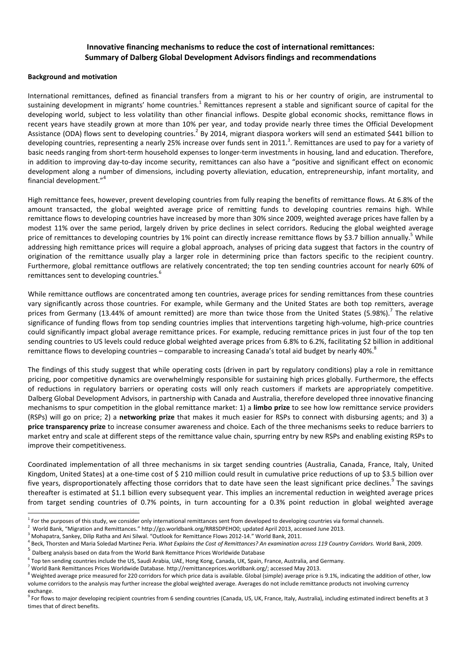## **Innovative financing mechanisms to reduce the cost of international remittances: Summary of Dalberg Global Development Advisors findings and recommendations**

## **Background and motivation**

International remittances, defined as financial transfers from a migrant to his or her country of origin, are instrumental to sustaining development in migrants' home countries.<sup>1</sup> Remittances represent a stable and significant source of capital for the developing world, subject to less volatility than other financial inflows. Despite global economic shocks, remittance flows in recent years have steadily grown at more than 10% per year, and today provide nearly three times the Official Development Assistance (ODA) flows sent to developing countries.<sup>2</sup> By 2014, migrant diaspora workers will send an estimated \$441 billion to developing countries, representing a nearly 25% increase over funds sent in 2011.<sup>3</sup>. Remittances are used to pay for a variety of basic needs ranging from short-term household expenses to longer-term investments in housing, land and education. Therefore, in addition to improving day-to-day income security, remittances can also have a "positive and significant effect on economic development along a number of dimensions, including poverty alleviation, education, entrepreneurship, infant mortality, and financial development."<sup>4</sup>

High remittance fees, however, prevent developing countries from fully reaping the benefits of remittance flows. At 6.8% of the amount transacted, the global weighted average price of remitting funds to developing countries remains high. While remittance flows to developing countries have increased by more than 30% since 2009, weighted average prices have fallen by a modest 11% over the same period, largely driven by price declines in select corridors. Reducing the global weighted average price of remittances to developing countries by 1% point can directly increase remittance flows by \$3.7 billion annually.<sup>5</sup> While addressing high remittance prices will require a global approach, analyses of pricing data suggest that factors in the country of origination of the remittance usually play a larger role in determining price than factors specific to the recipient country. Furthermore, global remittance outflows are relatively concentrated; the top ten sending countries account for nearly 60% of remittances sent to developing countries.<sup>6</sup>

While remittance outflows are concentrated among ten countries, average prices for sending remittances from these countries vary significantly across those countries. For example, while Germany and the United States are both top remitters, average prices from Germany (13.44% of amount remitted) are more than twice those from the United States (5.98%).<sup>7</sup> The relative significance of funding flows from top sending countries implies that interventions targeting high-volume, high-price countries could significantly impact global average remittance prices. For example, reducing remittance prices in just four of the top ten sending countries to US levels could reduce global weighted average prices from 6.8% to 6.2%, facilitating \$2 billion in additional remittance flows to developing countries – comparable to increasing Canada's total aid budget by nearly 40%.<sup>8</sup>

The findings of this study suggest that while operating costs (driven in part by regulatory conditions) play a role in remittance pricing, poor competitive dynamics are overwhelmingly responsible for sustaining high prices globally. Furthermore, the effects of reductions in regulatory barriers or operating costs will only reach customers if markets are appropriately competitive. Dalberg Global Development Advisors, in partnership with Canada and Australia, therefore developed three innovative financing mechanisms to spur competition in the global remittance market: 1) a **limbo prize** to see how low remittance service providers (RSPs) will go on price; 2) a **networking prize** that makes it much easier for RSPs to connect with disbursing agents; and 3) a **price transparency prize** to increase consumer awareness and choice. Each of the three mechanisms seeks to reduce barriers to market entry and scale at different steps of the remittance value chain, spurring entry by new RSPs and enabling existing RSPs to improve their competitiveness.

Coordinated implementation of all three mechanisms in six target sending countries (Australia, Canada, France, Italy, United Kingdom, United States) at a one-time cost of \$ 210 million could result in cumulative price reductions of up to \$3.5 billion over five years, disproportionately affecting those corridors that to date have seen the least significant price declines.<sup>9</sup> The savings thereafter is estimated at \$1.1 billion every subsequent year. This implies an incremental reduction in weighted average prices from target sending countries of 0.7% points, in turn accounting for a 0.3% point reduction in global weighted average

 $\overline{a}$ 

<sup>&</sup>lt;sup>1</sup> For the purposes of this study, we consider only international remittances sent from developed to developing countries via formal channels.

<sup>2</sup> World Bank, "Migration and Remittances." http://go.worldbank.org/RR8SDPEHO0; updated April 2013, accessed June 2013.

<sup>&</sup>lt;sup>3</sup> Mohapatra, Sankey, Dilip Ratha and Ani Silwal. "Outlook for Remittance Flows 2012-14." World Bank, 2011.

<sup>4</sup> Beck, Thorsten and Maria Soledad Martinez Peria. *What Explains the Cost of Remittances? An examination across 119 Country Corridors.* World Bank, 2009.

<sup>&</sup>lt;sup>5</sup> Dalberg analysis based on data from the World Bank Remittance Prices Worldwide Database

<sup>&</sup>lt;sup>6</sup> Top ten sending countries include the US, Saudi Arabia, UAE, Hong Kong, Canada, UK, Spain, France, Australia, and Germany.

<sup>&</sup>lt;sup>7</sup> World Bank Remittances Prices Worldwide Database. http://remittanceprices.worldbank.org/; accessed May 2013.

 $^8$  Weighted average price measured for 220 corridors for which price data is available. Global (simple) average price is 9.1%, indicating the addition of other, low volume corridors to the analysis may further increase the global weighted average. Averages do not include remittance products not involving currency exchange.

<sup>&</sup>lt;sup>9</sup> For flows to major developing recipient countries from 6 sending countries (Canada, US, UK, France, Italy, Australia), including estimated indirect benefits at 3 times that of direct benefits.